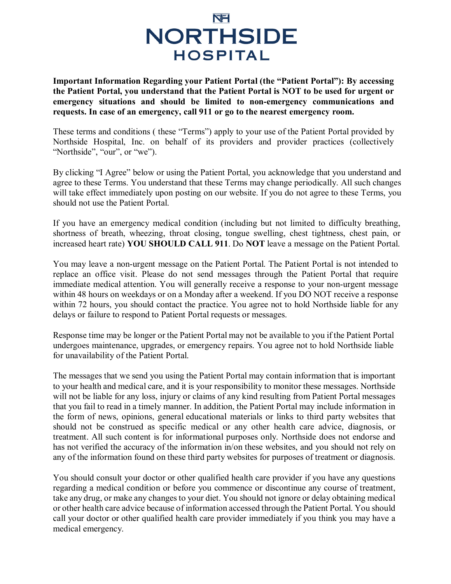## NEI **NORTHSIDE HOSPITAL**

**Important Information Regarding your Patient Portal (the "Patient Portal"): By accessing the Patient Portal, you understand that the Patient Portal is NOT to be used for urgent or emergency situations and should be limited to non-emergency communications and requests. In case of an emergency, call 911 or go to the nearest emergency room.**

These terms and conditions ( these "Terms") apply to your use of the Patient Portal provided by Northside Hospital, Inc. on behalf of its providers and provider practices (collectively "Northside", "our", or "we").

By clicking "I Agree" below or using the Patient Portal, you acknowledge that you understand and agree to these Terms. You understand that these Terms may change periodically. All such changes will take effect immediately upon posting on our website. If you do not agree to these Terms, you should not use the Patient Portal.

If you have an emergency medical condition (including but not limited to difficulty breathing, shortness of breath, wheezing, throat closing, tongue swelling, chest tightness, chest pain, or increased heart rate) **YOU SHOULD CALL 911**. Do **NOT** leave a message on the Patient Portal.

You may leave a non-urgent message on the Patient Portal. The Patient Portal is not intended to replace an office visit. Please do not send messages through the Patient Portal that require immediate medical attention. You will generally receive a response to your non-urgent message within 48 hours on weekdays or on a Monday after a weekend. If you DO NOT receive a response within 72 hours, you should contact the practice. You agree not to hold Northside liable for any delays or failure to respond to Patient Portal requests or messages.

Response time may be longer or the Patient Portal may not be available to you if the Patient Portal undergoes maintenance, upgrades, or emergency repairs. You agree not to hold Northside liable for unavailability of the Patient Portal.

The messages that we send you using the Patient Portal may contain information that is important to your health and medical care, and it is your responsibility to monitor these messages. Northside will not be liable for any loss, injury or claims of any kind resulting from Patient Portal messages that you fail to read in a timely manner. In addition, the Patient Portal may include information in the form of news, opinions, general educational materials or links to third party websites that should not be construed as specific medical or any other health care advice, diagnosis, or treatment. All such content is for informational purposes only. Northside does not endorse and has not verified the accuracy of the information in/on these websites, and you should not rely on any of the information found on these third party websites for purposes of treatment or diagnosis.

You should consult your doctor or other qualified health care provider if you have any questions regarding a medical condition or before you commence or discontinue any course of treatment, take any drug, or make any changes to your diet. You should not ignore or delay obtaining medical or other health care advice because of information accessed through the Patient Portal. You should call your doctor or other qualified health care provider immediately if you think you may have a medical emergency.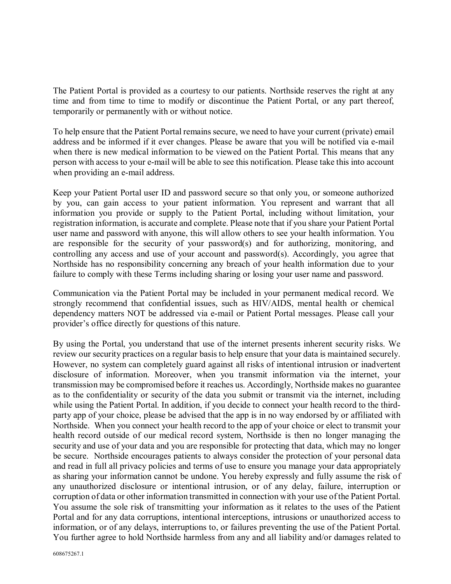The Patient Portal is provided as a courtesy to our patients. Northside reserves the right at any time and from time to time to modify or discontinue the Patient Portal, or any part thereof, temporarily or permanently with or without notice.

To help ensure that the Patient Portal remains secure, we need to have your current (private) email address and be informed if it ever changes. Please be aware that you will be notified via e-mail when there is new medical information to be viewed on the Patient Portal. This means that any person with access to your e-mail will be able to see this notification. Please take this into account when providing an e-mail address.

Keep your Patient Portal user ID and password secure so that only you, or someone authorized by you, can gain access to your patient information. You represent and warrant that all information you provide or supply to the Patient Portal, including without limitation, your registration information, is accurate and complete. Please note that if you share your Patient Portal user name and password with anyone, this will allow others to see your health information. You are responsible for the security of your password(s) and for authorizing, monitoring, and controlling any access and use of your account and password(s). Accordingly, you agree that Northside has no responsibility concerning any breach of your health information due to your failure to comply with these Terms including sharing or losing your user name and password.

Communication via the Patient Portal may be included in your permanent medical record. We strongly recommend that confidential issues, such as HIV/AIDS, mental health or chemical dependency matters NOT be addressed via e-mail or Patient Portal messages. Please call your provider's office directly for questions of this nature.

By using the Portal, you understand that use of the internet presents inherent security risks. We review our security practices on a regular basis to help ensure that your data is maintained securely. However, no system can completely guard against all risks of intentional intrusion or inadvertent disclosure of information. Moreover, when you transmit information via the internet, your transmission may be compromised before it reaches us. Accordingly, Northside makes no guarantee as to the confidentiality or security of the data you submit or transmit via the internet, including while using the Patient Portal. In addition, if you decide to connect your health record to the thirdparty app of your choice, please be advised that the app is in no way endorsed by or affiliated with Northside. When you connect your health record to the app of your choice or elect to transmit your health record outside of our medical record system, Northside is then no longer managing the security and use of your data and you are responsible for protecting that data, which may no longer be secure. Northside encourages patients to always consider the protection of your personal data and read in full all privacy policies and terms of use to ensure you manage your data appropriately as sharing your information cannot be undone. You hereby expressly and fully assume the risk of any unauthorized disclosure or intentional intrusion, or of any delay, failure, interruption or corruption of data or other information transmitted in connection with your use of the Patient Portal. You assume the sole risk of transmitting your information as it relates to the uses of the Patient Portal and for any data corruptions, intentional interceptions, intrusions or unauthorized access to information, or of any delays, interruptions to, or failures preventing the use of the Patient Portal. You further agree to hold Northside harmless from any and all liability and/or damages related to